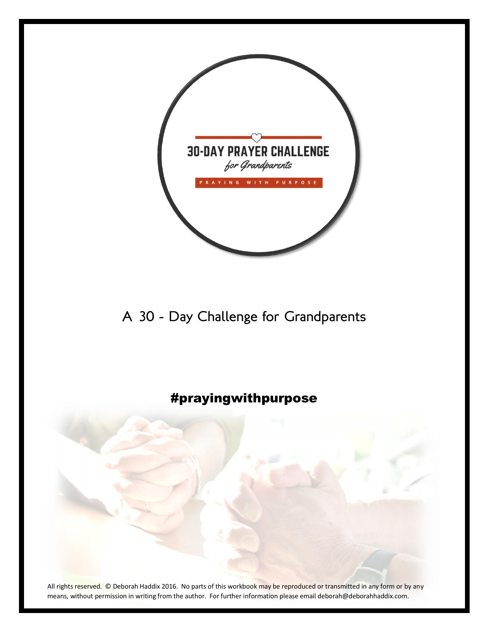

A 30 - Day Challenge for Grandparents

### #prayingwithpurpose



All rights reserved. © Deborah Haddix 2016. No parts of this workbook may be reproduced or transmitted in any form or by any means, without permission in writing from the author. For further information please email deborah@deborahhaddix.com.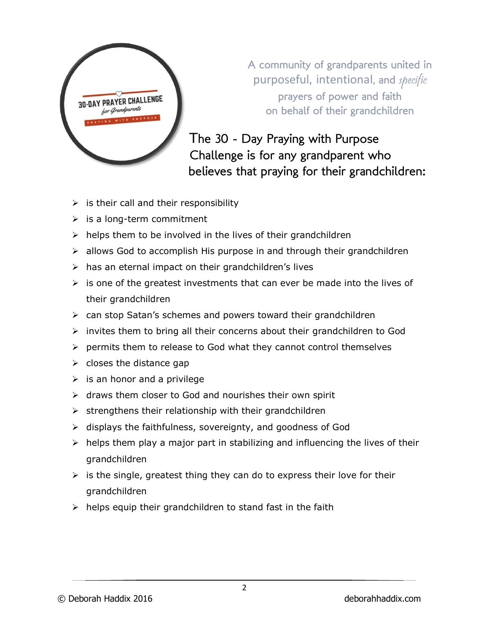

A community of grandparents united in purposeful, intentional, and specific prayers of power and faith on behalf of their grandchildren

The 30 - Day Praying with Purpose Challenge is for any grandparent who believes that praying for their grandchildren:

- $\triangleright$  is their call and their responsibility
- $\triangleright$  is a long-term commitment
- $\triangleright$  helps them to be involved in the lives of their grandchildren
- $\triangleright$  allows God to accomplish His purpose in and through their grandchildren
- $\triangleright$  has an eternal impact on their grandchildren's lives
- $\triangleright$  is one of the greatest investments that can ever be made into the lives of their grandchildren
- ➢ can stop Satan's schemes and powers toward their grandchildren
- $\triangleright$  invites them to bring all their concerns about their grandchildren to God
- $\triangleright$  permits them to release to God what they cannot control themselves
- $\triangleright$  closes the distance gap
- $\triangleright$  is an honor and a privilege
- ➢ draws them closer to God and nourishes their own spirit
- $\triangleright$  strengthens their relationship with their grandchildren
- ➢ displays the faithfulness, sovereignty, and goodness of God
- $\triangleright$  helps them play a major part in stabilizing and influencing the lives of their grandchildren
- $\triangleright$  is the single, greatest thing they can do to express their love for their grandchildren
- $\triangleright$  helps equip their grandchildren to stand fast in the faith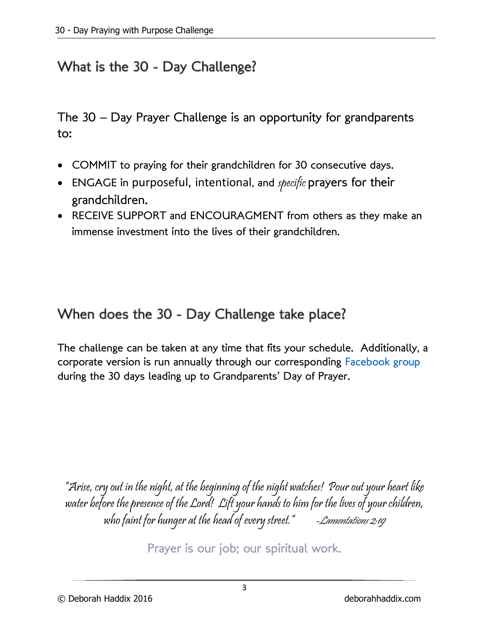### What is the 30 - Day Challenge?

The 30 – Day Prayer Challenge is an opportunity for grandparents to:

- COMMIT to praying for their grandchildren for 30 consecutive days.
- ENGAGE in purposeful, intentional, and specific prayers for their grandchildren.
- RECEIVE SUPPORT and ENCOURAGMENT from others as they make an immense investment into the lives of their grandchildren.

# When does the 30 - Day Challenge take place?

The challenge can be taken at any time that fits your schedule. Additionally, a corporate version is run annually through our corresponding [Facebook group](https://www.facebook.com/groups/1054498547972271/) during the 30 days leading up to Grandparents' Day of Prayer.

"Arise, cry out in the night, at the beginning of the night watches! Pour out your heart like water before the presence of the Lord! Lift your hands to him for the lives of your children, who faint for hunger at the head of every street." - Lamentations 2:19

Prayer is our job; our spiritual work.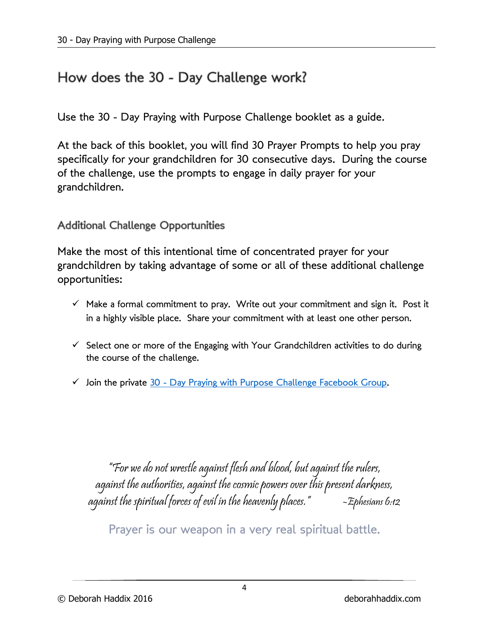### How does the 30 - Day Challenge work?

Use the 30 - Day Praying with Purpose Challenge booklet as a guide.

At the back of this booklet, you will find 30 Prayer Prompts to help you pray specifically for your grandchildren for 30 consecutive days. During the course of the challenge, use the prompts to engage in daily prayer for your grandchildren.

**Additional Challenge Opportunities** 

Make the most of this intentional time of concentrated prayer for your grandchildren by taking advantage of some or all of these additional challenge opportunities:

- $\checkmark$  Make a formal commitment to pray. Write out your commitment and sign it. Post it in a highly visible place. Share your commitment with at least one other person.
- $\checkmark$  Select one or more of the Engaging with Your Grandchildren activities to do during the course of the challenge.
- $\checkmark$  Join the private 30 [Day Praying with Purpose Challenge Facebook Group.](https://www.facebook.com/groups/1054498547972271/?ref=bookmarks)

"For we do not wrestle against flesh and blood, but against the rulers, against the authorities, against the cosmic powers over this present darkness, against the spiritual forces of evil in the heavenly places."  $-$  =  $\pm$ phesians 6:12

Prayer is our weapon in a very real spiritual battle.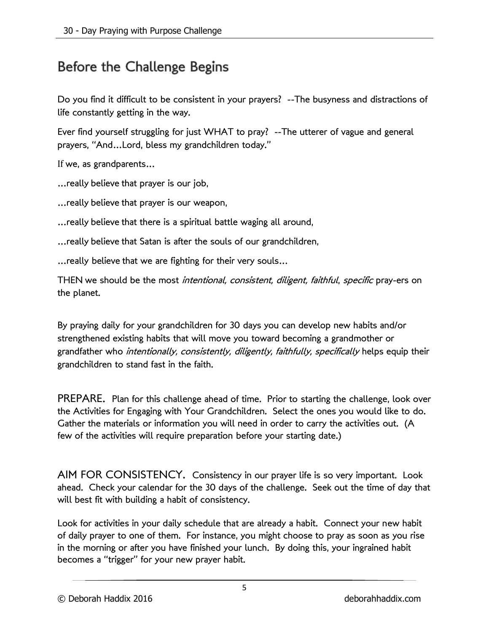### Before the Challenge Begins

Do you find it difficult to be consistent in your prayers? --The busyness and distractions of life constantly getting in the way.

Ever find yourself struggling for just WHAT to pray? --The utterer of vague and general prayers, "And…Lord, bless my grandchildren today."

If we, as grandparents…

…really believe that prayer is our job,

- …really believe that prayer is our weapon,
- …really believe that there is a spiritual battle waging all around,
- …really believe that Satan is after the souls of our grandchildren,
- …really believe that we are fighting for their very souls…

THEN we should be the most *intentional, consistent, diligent, faithful, specific* pray-ers on the planet.

By praying daily for your grandchildren for 30 days you can develop new habits and/or strengthened existing habits that will move you toward becoming a grandmother or grandfather who intentionally, consistently, diligently, faithfully, specifically helps equip their grandchildren to stand fast in the faith.

PREPARE. Plan for this challenge ahead of time. Prior to starting the challenge, look over the Activities for Engaging with Your Grandchildren. Select the ones you would like to do. Gather the materials or information you will need in order to carry the activities out. (A few of the activities will require preparation before your starting date.)

AIM FOR CONSISTENCY. Consistency in our prayer life is so very important. Look ahead. Check your calendar for the 30 days of the challenge. Seek out the time of day that will best fit with building a habit of consistency.

Look for activities in your daily schedule that are already a habit. Connect your new habit of daily prayer to one of them. For instance, you might choose to pray as soon as you rise in the morning or after you have finished your lunch. By doing this, your ingrained habit becomes a "trigger" for your new prayer habit.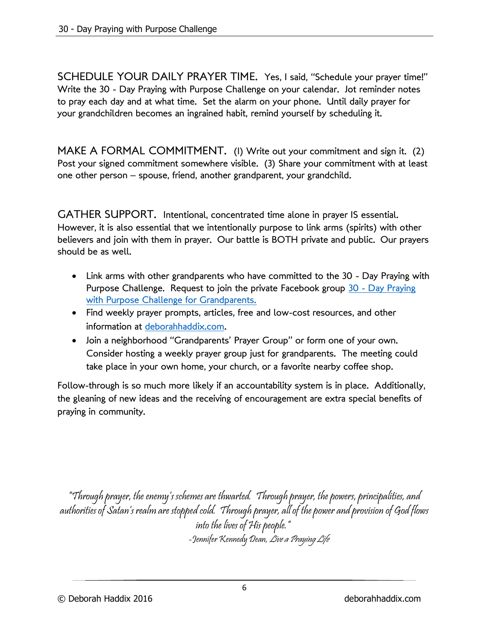SCHEDULE YOUR DAILY PRAYER TIME. Yes, I said, "Schedule your prayer time!" Write the 30 - Day Praying with Purpose Challenge on your calendar. Jot reminder notes to pray each day and at what time. Set the alarm on your phone. Until daily prayer for your grandchildren becomes an ingrained habit, remind yourself by scheduling it.

MAKE A FORMAL COMMITMENT. (1) Write out your commitment and sign it. (2) Post your signed commitment somewhere visible. (3) Share your commitment with at least one other person – spouse, friend, another grandparent, your grandchild.

GATHER SUPPORT. Intentional, concentrated time alone in prayer IS essential. However, it is also essential that we intentionally purpose to link arms (spirits) with other believers and join with them in prayer. Our battle is BOTH private and public. Our prayers should be as well.

- Link arms with other grandparents who have committed to the 30 Day Praying with Purpose Challenge. Request to join the private Facebook group 30 - Day Praying [with Purpose Challenge for Grandparents.](https://www.facebook.com/groups/1054498547972271/)
- Find weekly prayer prompts, articles, free and low-cost resources, and other information at [deborahhaddix.com.](http://www.deborahhaddix.com/just-for-grandparents/)
- Join a neighborhood "Grandparents' Prayer Group" or form one of your own. Consider hosting a weekly prayer group just for grandparents. The meeting could take place in your own home, your church, or a favorite nearby coffee shop.

Follow-through is so much more likely if an accountability system is in place. Additionally, the gleaning of new ideas and the receiving of encouragement are extra special benefits of praying in community.

"Through prayer, the enemy's schemes are thwarted. Through prayer, the powers, principalities, and authorities of Satan's realm are stopped cold. Through prayer, all of the power and provision of God flows into the lives of His people." -Jennifer Kennedy Dean, *Live a Praying Life*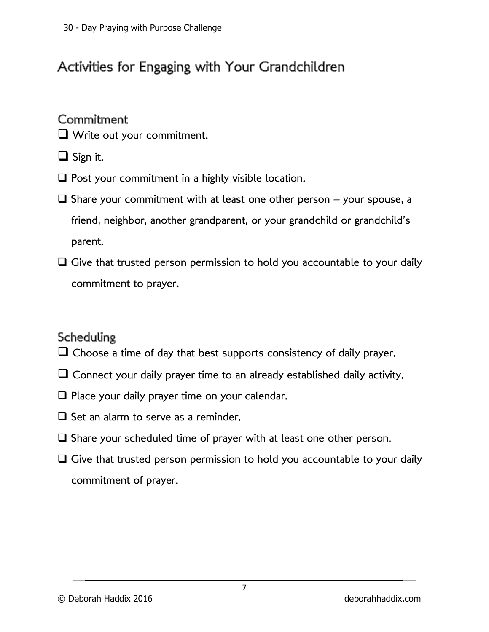# Activities for Engaging with Your Grandchildren

#### Commitment

- ❑ Write out your commitment.
- ❑ Sign it.
- $\Box$  Post your commitment in a highly visible location.
- $\square$  Share your commitment with at least one other person your spouse, a friend, neighbor, another grandparent, or your grandchild or grandchild's parent.
- ❑ Give that trusted person permission to hold you accountable to your daily commitment to prayer.

#### Scheduling

- $\Box$  Choose a time of day that best supports consistency of daily prayer.
- $\Box$  Connect your daily prayer time to an already established daily activity.
- ❑ Place your daily prayer time on your calendar.
- ❑ Set an alarm to serve as a reminder.
- ❑ Share your scheduled time of prayer with at least one other person.
- $\Box$  Give that trusted person permission to hold you accountable to your daily commitment of prayer.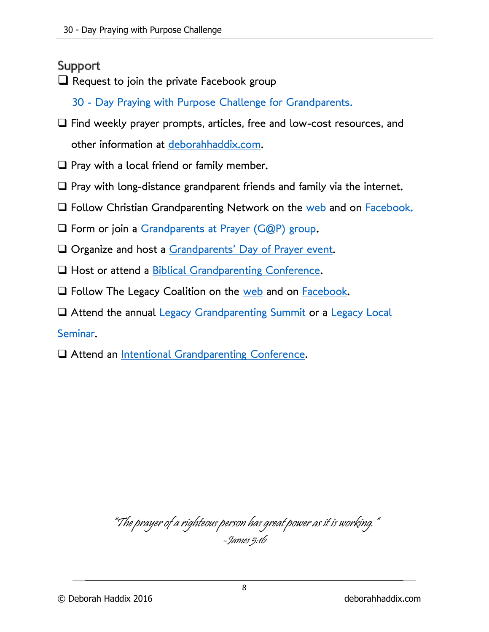#### Support

 $\Box$  Request to join the private Facebook group

30 - [Day Praying with Purpose Challenge for Grandparents.](https://www.facebook.com/groups/1054498547972271/)

- ❑ Find weekly prayer prompts, articles, free and low-cost resources, and other information at [deborahhaddix.com.](http://www.deborahhaddix.com/just-for-grandparents/)
- $\Box$  Pray with a local friend or family member.
- ❑ Pray with long-distance grandparent friends and family via the internet.
- $\Box$  Follow Christian Grandparenting Network on the [web](https://www.christiangrandparenting.net/) and on [Facebook.](https://www.facebook.com/ChristianGrandparenting/)
- ❑ Form or join a [Grandparents at Prayer \(G@P\)](https://christiangrandparenting.net/grandparents-at-prayer/) group.
- ❑ Organize and host a Grandparents' [Day of Prayer event.](https://christiangrandparenting.net/grandparents-day-of-prayer/)
- □ Host or attend a [Biblical Grandparenting Conference.](https://christiangrandparenting.com/biblical-grandparenting-conference/)
- ❑ Follow The Legacy Coalition on the [web](https://legacycoalition.com/) and on [Facebook.](https://www.facebook.com/thelegacycoalition/)
- ❑ Attend the annual [Legacy Grandparenting Summit](https://summit.legacycoalition.com/) or a [Legacy Local](https://legacycoalition.com/local-seminars/)

[Seminar.](https://legacycoalition.com/local-seminars/)

❑ Attend an [Intentional Grandparenting Conference.](https://grandparenting.co/)

"The prayer of a righteous person has great power as it is working." -James 5:16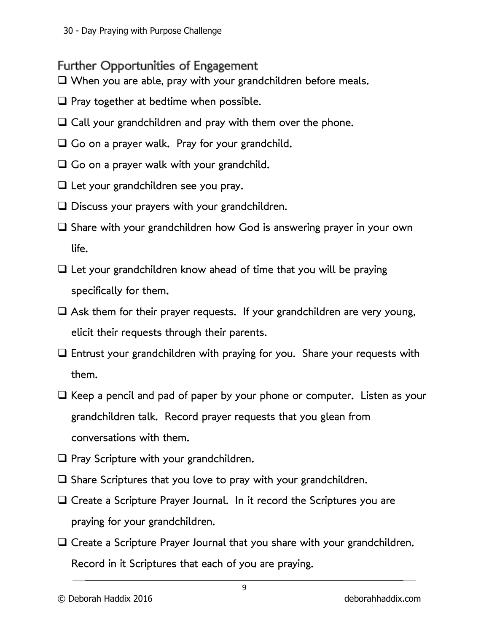Further Opportunities of Engagement

❑ When you are able, pray with your grandchildren before meals.

- $\Box$  Pray together at bedtime when possible.
- $\Box$  Call your grandchildren and pray with them over the phone.
- ❑ Go on a prayer walk. Pray for your grandchild.
- $\Box$  Go on a prayer walk with your grandchild.
- ❑ Let your grandchildren see you pray.
- ❑ Discuss your prayers with your grandchildren.
- ❑ Share with your grandchildren how God is answering prayer in your own life.
- $\Box$  Let your grandchildren know ahead of time that you will be praying specifically for them.
- $\Box$  Ask them for their prayer requests. If your grandchildren are very young, elicit their requests through their parents.
- ❑ Entrust your grandchildren with praying for you. Share your requests with them.
- ❑ Keep a pencil and pad of paper by your phone or computer. Listen as your grandchildren talk. Record prayer requests that you glean from conversations with them.
- ❑ Pray Scripture with your grandchildren.
- ❑ Share Scriptures that you love to pray with your grandchildren.
- □ Create a Scripture Prayer Journal. In it record the Scriptures you are praying for your grandchildren.
- ❑ Create a Scripture Prayer Journal that you share with your grandchildren. Record in it Scriptures that each of you are praying.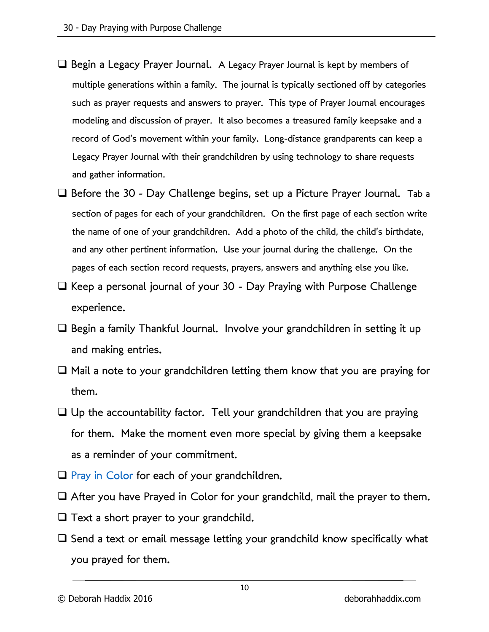- ❑ Begin a Legacy Prayer Journal. A Legacy Prayer Journal is kept by members of multiple generations within a family. The journal is typically sectioned off by categories such as prayer requests and answers to prayer. This type of Prayer Journal encourages modeling and discussion of prayer. It also becomes a treasured family keepsake and a record of God's movement within your family. Long-distance grandparents can keep a Legacy Prayer Journal with their grandchildren by using technology to share requests and gather information.
- ❑ Before the 30 Day Challenge begins, set up a Picture Prayer Journal. Tab a section of pages for each of your grandchildren. On the first page of each section write the name of one of your grandchildren. Add a photo of the child, the child's birthdate, and any other pertinent information. Use your journal during the challenge. On the pages of each section record requests, prayers, answers and anything else you like.
- ❑ Keep a personal journal of your 30 Day Praying with Purpose Challenge experience.
- ❑ Begin a family Thankful Journal. Involve your grandchildren in setting it up and making entries.
- ❑ Mail a note to your grandchildren letting them know that you are praying for them.
- $\Box$  Up the accountability factor. Tell your grandchildren that you are praying for them. Make the moment even more special by giving them a keepsake as a reminder of your commitment.
- $\Box$  [Pray in Color](https://www.deborahhaddix.com/praying-in-color-for-our-grandchildren/) for each of your grandchildren.
- ❑ After you have Prayed in Color for your grandchild, mail the prayer to them.
- $\Box$  Text a short prayer to your grandchild.
- ❑ Send a text or email message letting your grandchild know specifically what you prayed for them.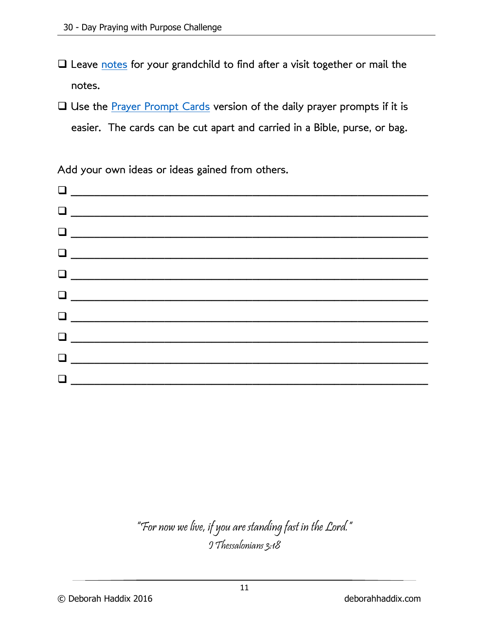- □ Leave [notes](http://www.deborahhaddix.com/wp-content/uploads/2016/07/Notes-Cards-for-Your-Grandchildren.pdf) for your grandchild to find after a visit together or mail the notes.
- ❑ Use the [Prayer Prompt Cards](http://www.deborahhaddix.com/wp-content/uploads/2016/07/Prayer-Prompts-Cards.pdf) version of the daily prayer prompts if it is easier. The cards can be cut apart and carried in a Bible, purse, or bag.

Add your own ideas or ideas gained from others.

# "For now we live, if you are standing fast in the Lord." I Thessalonians 3:18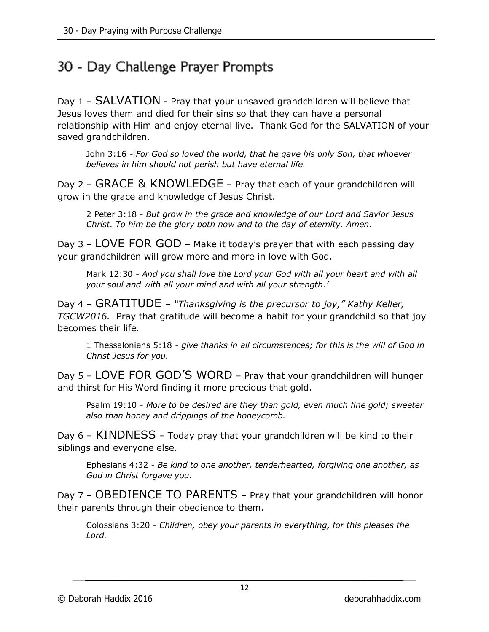# 30 - Day Challenge Prayer Prompts

Day 1 – SALVATION - Pray that your unsaved grandchildren will believe that Jesus loves them and died for their sins so that they can have a personal relationship with Him and enjoy eternal live. Thank God for the SALVATION of your saved grandchildren.

John 3:16 - *For God so loved the world, that he gave his only Son, that whoever believes in him should not perish but have eternal life.*

Day 2 – GRACE & KNOWLEDGE – Pray that each of your grandchildren will grow in the grace and knowledge of Jesus Christ.

2 Peter 3:18 - *But grow in the grace and knowledge of our Lord and Savior Jesus Christ. To him be the glory both now and to the day of eternity. Amen.*

Day 3 – LOVE FOR GOD – Make it today's prayer that with each passing day your grandchildren will grow more and more in love with God.

Mark 12:30 - *And you shall love the Lord your God with all your heart and with all your soul and with all your mind and with all your strength.'*

Day 4 – GRATITUDE – *"Thanksgiving is the precursor to joy," Kathy Keller, TGCW2016.* Pray that gratitude will become a habit for your grandchild so that joy becomes their life.

1 Thessalonians 5:18 - *give thanks in all circumstances; for this is the will of God in Christ Jesus for you.*

Day 5 – LOVE FOR GOD'S WORD – Pray that your grandchildren will hunger and thirst for His Word finding it more precious that gold.

Psalm 19:10 - *More to be desired are they than gold, even much fine gold; sweeter also than honey and drippings of the honeycomb.*

Day 6 – KINDNESS – Today pray that your grandchildren will be kind to their siblings and everyone else.

Ephesians 4:32 - *Be kind to one another, tenderhearted, forgiving one another, as God in Christ forgave you.*

Day 7 – OBEDIENCE TO PARENTS – Pray that your grandchildren will honor their parents through their obedience to them.

Colossians 3:20 - *Children, obey your parents in everything, for this pleases the Lord.*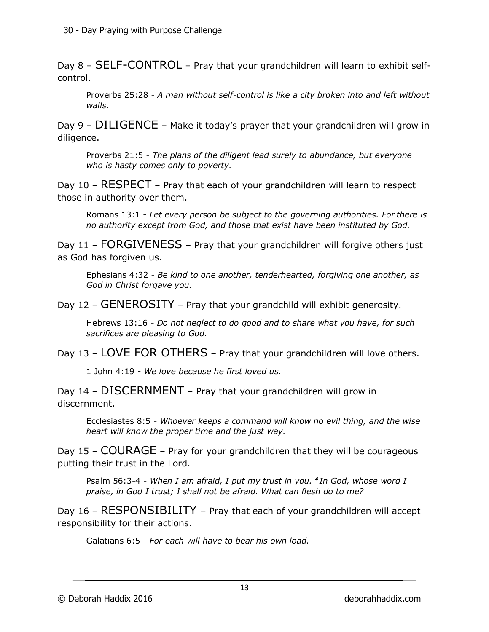Day 8 – SELF-CONTROL – Pray that your grandchildren will learn to exhibit selfcontrol.

Proverbs 25:28 - *A man without self-control is like a city broken into and left without walls.*

Day 9 – DILIGENCE – Make it today's prayer that your grandchildren will grow in diligence.

Proverbs 21:5 - *The plans of the diligent lead surely to abundance, but everyone who is hasty comes only to poverty.*

Day 10 – RESPECT – Pray that each of your grandchildren will learn to respect those in authority over them.

Romans 13:1 - *Let every person be subject to the governing authorities. For there is no authority except from God, and those that exist have been instituted by God.*

Day 11 – FORGIVENESS – Pray that your grandchildren will forgive others just as God has forgiven us.

Ephesians 4:32 - *Be kind to one another, tenderhearted, forgiving one another, as God in Christ forgave you.*

Day 12 – GENEROSITY – Pray that your grandchild will exhibit generosity.

Hebrews 13:16 - *Do not neglect to do good and to share what you have, for such sacrifices are pleasing to God.*

Day 13 – LOVE FOR OTHERS – Pray that your grandchildren will love others.

1 John 4:19 - *We love because he first loved us.*

Day 14 – DISCERNMENT – Pray that your grandchildren will grow in discernment.

Ecclesiastes 8:5 - *Whoever keeps a command will know no evil thing, and the wise heart will know the proper time and the just way.*

Day 15 – COURAGE – Pray for your grandchildren that they will be courageous putting their trust in the Lord.

Psalm 56:3-4 - *When I am afraid, I put my trust in you. <sup>4</sup> In God, whose word I praise, in God I trust; I shall not be afraid. What can flesh do to me?*

Day 16 – RESPONSIBILITY – Pray that each of your grandchildren will accept responsibility for their actions.

Galatians 6:5 - *For each will have to bear his own load.*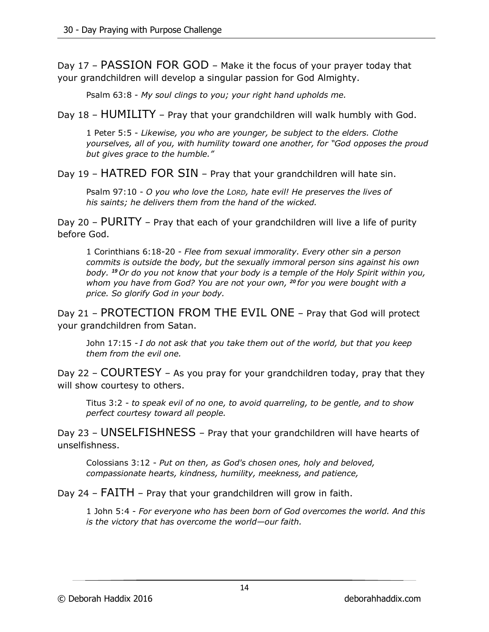Day 17 – PASSION FOR GOD – Make it the focus of your prayer today that your grandchildren will develop a singular passion for God Almighty.

Psalm 63:8 - *My soul clings to you; your right hand upholds me.*

Day 18 – HUMILITY – Pray that your grandchildren will walk humbly with God.

1 Peter 5:5 - *Likewise, you who are younger, be subject to the elders. Clothe yourselves, all of you, with humility toward one another, for "God opposes the proud but gives grace to the humble."*

Day 19 – HATRED FOR SIN – Pray that your grandchildren will hate sin.

Psalm 97:10 - *O you who love the LORD, hate evil! He preserves the lives of his saints; he delivers them from the hand of the wicked.*

Day 20 – PURITY – Pray that each of your grandchildren will live a life of purity before God.

1 Corinthians 6:18-20 - *Flee from sexual immorality. Every other sin a person commits is outside the body, but the sexually immoral person sins against his own body. <sup>19</sup> Or do you not know that your body is a temple of the Holy Spirit within you, whom you have from God? You are not your own, <sup>20</sup> for you were bought with a price. So glorify God in your body.*

Day 21 – PROTECTION FROM THE EVIL ONE – Pray that God will protect your grandchildren from Satan.

John 17:15 - *I do not ask that you take them out of the world, but that you keep them from the evil one.*

Day 22 – COURTESY – As you pray for your grandchildren today, pray that they will show courtesy to others.

Titus 3:2 - *to speak evil of no one, to avoid quarreling, to be gentle, and to show perfect courtesy toward all people.*

Day 23 – UNSELFISHNESS – Pray that your grandchildren will have hearts of unselfishness.

Colossians 3:12 - *Put on then, as God's chosen ones, holy and beloved, compassionate hearts, kindness, humility, meekness, and patience,*

Day 24 – FAITH – Pray that your grandchildren will grow in faith.

1 John 5:4 - *For everyone who has been born of God overcomes the world. And this is the victory that has overcome the world—our faith.*